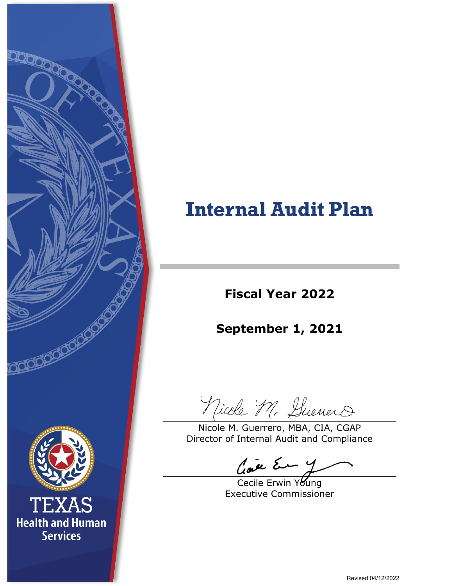

# **Internal Audit Plan**

**Fiscal Year 2022**

**September 1, 2021**

Nicole M. Suenero

Nicole M. Guerrero, MBA, CIA, CGAP Director of Internal Audit and Compliance

Cave Em y

Cecile Erwin Young Executive Commissioner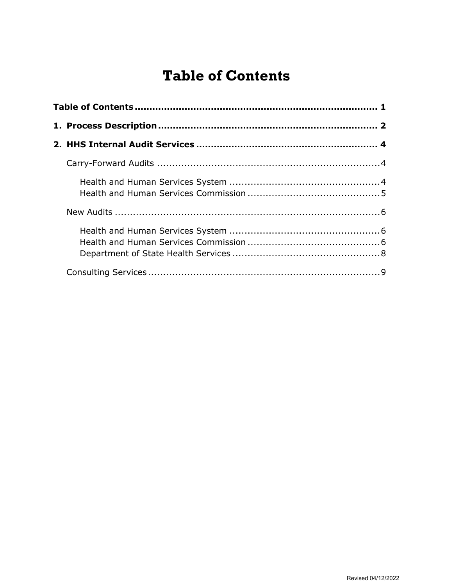# **Table of Contents**

<span id="page-1-0"></span>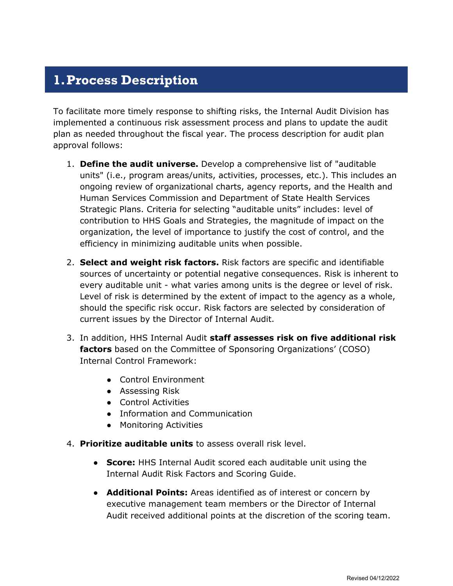# <span id="page-2-0"></span>**1.Process Description**

To facilitate more timely response to shifting risks, the Internal Audit Division has implemented a continuous risk assessment process and plans to update the audit plan as needed throughout the fiscal year. The process description for audit plan approval follows:

- 1. **Define the audit universe.** Develop a comprehensive list of "auditable units" (i.e., program areas/units, activities, processes, etc.). This includes an ongoing review of organizational charts, agency reports, and the Health and Human Services Commission and Department of State Health Services Strategic Plans. Criteria for selecting "auditable units" includes: level of contribution to HHS Goals and Strategies, the magnitude of impact on the organization, the level of importance to justify the cost of control, and the efficiency in minimizing auditable units when possible.
- 2. **Select and weight risk factors.** Risk factors are specific and identifiable sources of uncertainty or potential negative consequences. Risk is inherent to every auditable unit - what varies among units is the degree or level of risk. Level of risk is determined by the extent of impact to the agency as a whole, should the specific risk occur. Risk factors are selected by consideration of current issues by the Director of Internal Audit.
- 3. In addition, HHS Internal Audit **staff assesses risk on five additional risk factors** based on the Committee of Sponsoring Organizations' (COSO) Internal Control Framework:
	- Control Environment
	- Assessing Risk
	- Control Activities
	- Information and Communication
	- Monitoring Activities
- 4. **Prioritize auditable units** to assess overall risk level.
	- **Score:** HHS Internal Audit scored each auditable unit using the Internal Audit Risk Factors and Scoring Guide.
	- **Additional Points:** Areas identified as of interest or concern by executive management team members or the Director of Internal Audit received additional points at the discretion of the scoring team.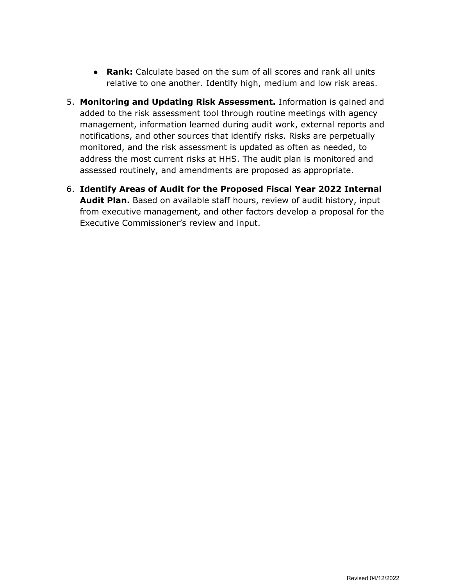- **Rank:** Calculate based on the sum of all scores and rank all units relative to one another. Identify high, medium and low risk areas.
- 5. **Monitoring and Updating Risk Assessment.** Information is gained and added to the risk assessment tool through routine meetings with agency management, information learned during audit work, external reports and notifications, and other sources that identify risks. Risks are perpetually monitored, and the risk assessment is updated as often as needed, to address the most current risks at HHS. The audit plan is monitored and assessed routinely, and amendments are proposed as appropriate.
- 6. **Identify Areas of Audit for the Proposed Fiscal Year 2022 Internal Audit Plan.** Based on available staff hours, review of audit history, input from executive management, and other factors develop a proposal for the Executive Commissioner's review and input.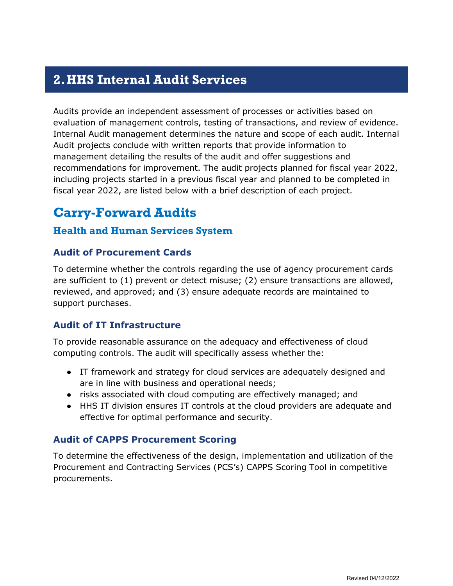# <span id="page-4-0"></span>**2.HHS Internal Audit Services**

Audits provide an independent assessment of processes or activities based on evaluation of management controls, testing of transactions, and review of evidence. Internal Audit management determines the nature and scope of each audit. Internal Audit projects conclude with written reports that provide information to management detailing the results of the audit and offer suggestions and recommendations for improvement. The audit projects planned for fiscal year 2022, including projects started in a previous fiscal year and planned to be completed in fiscal year 2022, are listed below with a brief description of each project.

### <span id="page-4-1"></span>**Carry-Forward Audits**

#### <span id="page-4-2"></span>**Health and Human Services System**

#### **Audit of Procurement Cards**

To determine whether the controls regarding the use of agency procurement cards are sufficient to (1) prevent or detect misuse; (2) ensure transactions are allowed, reviewed, and approved; and (3) ensure adequate records are maintained to support purchases.

#### **Audit of IT Infrastructure**

To provide reasonable assurance on the adequacy and effectiveness of cloud computing controls. The audit will specifically assess whether the:

- IT framework and strategy for cloud services are adequately designed and are in line with business and operational needs;
- risks associated with cloud computing are effectively managed; and
- HHS IT division ensures IT controls at the cloud providers are adequate and effective for optimal performance and security.

#### **Audit of CAPPS Procurement Scoring**

To determine the effectiveness of the design, implementation and utilization of the Procurement and Contracting Services (PCS's) CAPPS Scoring Tool in competitive procurements.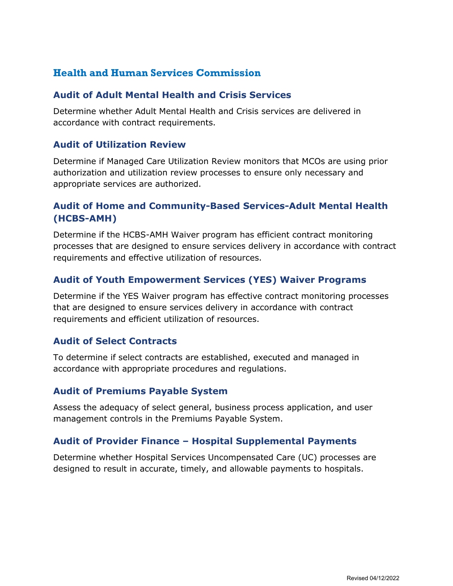#### <span id="page-5-0"></span>**Health and Human Services Commission**

#### **Audit of Adult Mental Health and Crisis Services**

Determine whether Adult Mental Health and Crisis services are delivered in accordance with contract requirements.

#### **Audit of Utilization Review**

Determine if Managed Care Utilization Review monitors that MCOs are using prior authorization and utilization review processes to ensure only necessary and appropriate services are authorized.

#### **Audit of Home and Community-Based Services-Adult Mental Health (HCBS-AMH)**

Determine if the HCBS-AMH Waiver program has efficient contract monitoring processes that are designed to ensure services delivery in accordance with contract requirements and effective utilization of resources.

#### **Audit of Youth Empowerment Services (YES) Waiver Programs**

Determine if the YES Waiver program has effective contract monitoring processes that are designed to ensure services delivery in accordance with contract requirements and efficient utilization of resources.

#### **Audit of Select Contracts**

To determine if select contracts are established, executed and managed in accordance with appropriate procedures and regulations.

#### **Audit of Premiums Payable System**

Assess the adequacy of select general, business process application, and user management controls in the Premiums Payable System.

#### **Audit of Provider Finance – Hospital Supplemental Payments**

Determine whether Hospital Services Uncompensated Care (UC) processes are designed to result in accurate, timely, and allowable payments to hospitals.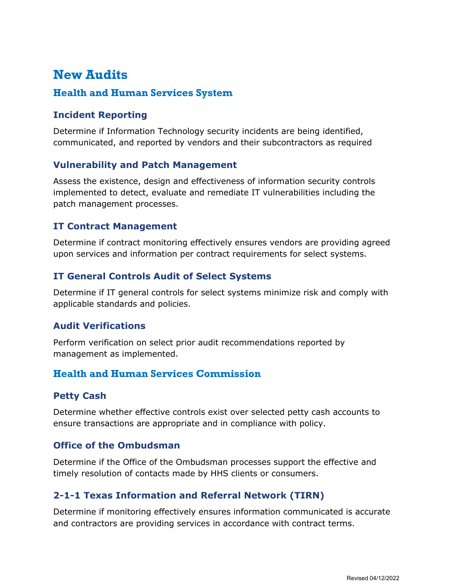# <span id="page-6-0"></span>**New Audits**

#### <span id="page-6-1"></span>**Health and Human Services System**

#### **Incident Reporting**

Determine if Information Technology security incidents are being identified, communicated, and reported by vendors and their subcontractors as required

#### **Vulnerability and Patch Management**

Assess the existence, design and effectiveness of information security controls implemented to detect, evaluate and remediate IT vulnerabilities including the patch management processes.

#### **IT Contract Management**

Determine if contract monitoring effectively ensures vendors are providing agreed upon services and information per contract requirements for select systems.

#### **IT General Controls Audit of Select Systems**

Determine if IT general controls for select systems minimize risk and comply with applicable standards and policies.

#### **Audit Verifications**

Perform verification on select prior audit recommendations reported by management as implemented.

#### <span id="page-6-2"></span>**Health and Human Services Commission**

#### **Petty Cash**

Determine whether effective controls exist over selected petty cash accounts to ensure transactions are appropriate and in compliance with policy.

#### **Office of the Ombudsman**

Determine if the Office of the Ombudsman processes support the effective and timely resolution of contacts made by HHS clients or consumers.

#### **2-1-1 Texas Information and Referral Network (TIRN)**

Determine if monitoring effectively ensures information communicated is accurate and contractors are providing services in accordance with contract terms.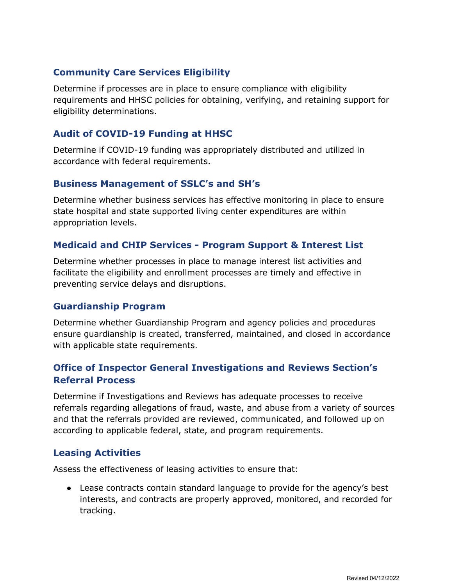#### **Community Care Services Eligibility**

Determine if processes are in place to ensure compliance with eligibility requirements and HHSC policies for obtaining, verifying, and retaining support for eligibility determinations.

#### **Audit of COVID-19 Funding at HHSC**

Determine if COVID-19 funding was appropriately distributed and utilized in accordance with federal requirements.

#### **Business Management of SSLC's and SH's**

Determine whether business services has effective monitoring in place to ensure state hospital and state supported living center expenditures are within appropriation levels.

#### **Medicaid and CHIP Services - Program Support & Interest List**

Determine whether processes in place to manage interest list activities and facilitate the eligibility and enrollment processes are timely and effective in preventing service delays and disruptions.

#### **Guardianship Program**

Determine whether Guardianship Program and agency policies and procedures ensure guardianship is created, transferred, maintained, and closed in accordance with applicable state requirements.

#### **Office of Inspector General Investigations and Reviews Section's Referral Process**

Determine if Investigations and Reviews has adequate processes to receive referrals regarding allegations of fraud, waste, and abuse from a variety of sources and that the referrals provided are reviewed, communicated, and followed up on according to applicable federal, state, and program requirements.

#### **Leasing Activities**

Assess the effectiveness of leasing activities to ensure that:

● Lease contracts contain standard language to provide for the agency's best interests, and contracts are properly approved, monitored, and recorded for tracking.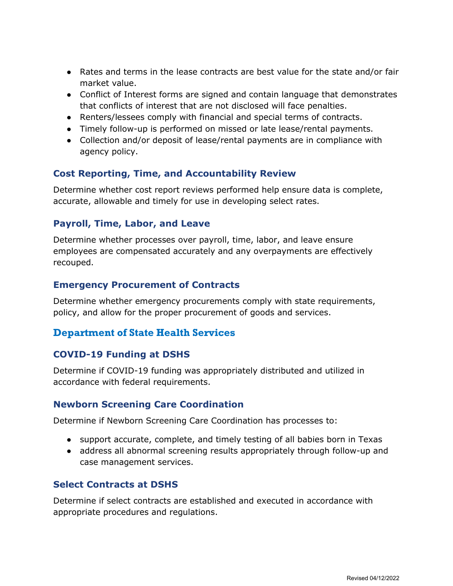- Rates and terms in the lease contracts are best value for the state and/or fair market value.
- Conflict of Interest forms are signed and contain language that demonstrates that conflicts of interest that are not disclosed will face penalties.
- Renters/lessees comply with financial and special terms of contracts.
- Timely follow-up is performed on missed or late lease/rental payments.
- Collection and/or deposit of lease/rental payments are in compliance with agency policy.

#### **Cost Reporting, Time, and Accountability Review**

Determine whether cost report reviews performed help ensure data is complete, accurate, allowable and timely for use in developing select rates.

#### **Payroll, Time, Labor, and Leave**

Determine whether processes over payroll, time, labor, and leave ensure employees are compensated accurately and any overpayments are effectively recouped.

#### **Emergency Procurement of Contracts**

Determine whether emergency procurements comply with state requirements, policy, and allow for the proper procurement of goods and services.

#### <span id="page-8-0"></span>**Department of State Health Services**

#### **COVID-19 Funding at DSHS**

Determine if COVID-19 funding was appropriately distributed and utilized in accordance with federal requirements.

#### **Newborn Screening Care Coordination**

Determine if Newborn Screening Care Coordination has processes to:

- support accurate, complete, and timely testing of all babies born in Texas
- address all abnormal screening results appropriately through follow-up and case management services.

#### **Select Contracts at DSHS**

Determine if select contracts are established and executed in accordance with appropriate procedures and regulations.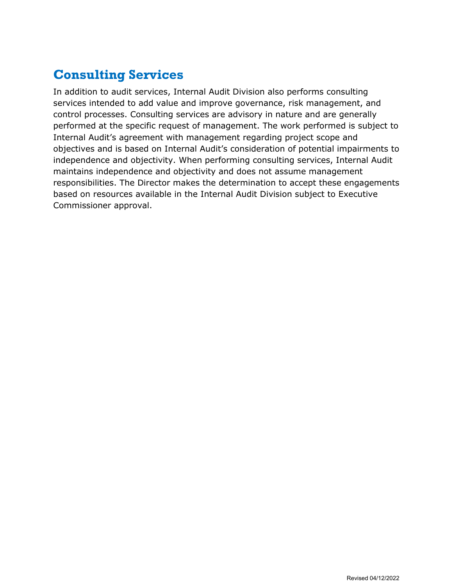# <span id="page-9-0"></span>**Consulting Services**

In addition to audit services, Internal Audit Division also performs consulting services intended to add value and improve governance, risk management, and control processes. Consulting services are advisory in nature and are generally performed at the specific request of management. The work performed is subject to Internal Audit's agreement with management regarding project scope and objectives and is based on Internal Audit's consideration of potential impairments to independence and objectivity. When performing consulting services, Internal Audit maintains independence and objectivity and does not assume management responsibilities. The Director makes the determination to accept these engagements based on resources available in the Internal Audit Division subject to Executive Commissioner approval.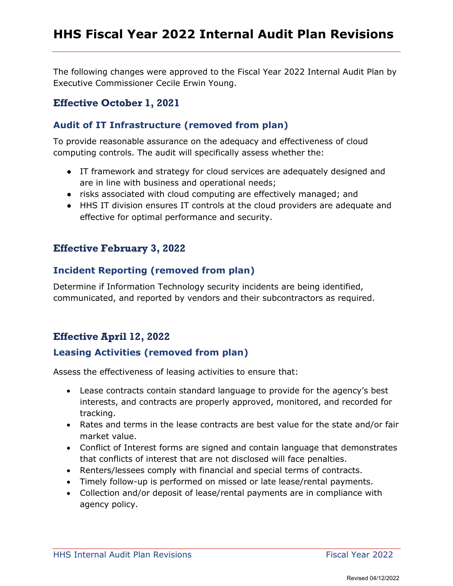The following changes were approved to the Fiscal Year 2022 Internal Audit Plan by Executive Commissioner Cecile Erwin Young.

#### **Effective October 1, 2021**

#### **Audit of IT Infrastructure (removed from plan)**

To provide reasonable assurance on the adequacy and effectiveness of cloud computing controls. The audit will specifically assess whether the:

- IT framework and strategy for cloud services are adequately designed and are in line with business and operational needs;
- risks associated with cloud computing are effectively managed; and
- HHS IT division ensures IT controls at the cloud providers are adequate and effective for optimal performance and security.

#### **Effective February 3, 2022**

#### **Incident Reporting (removed from plan)**

Determine if Information Technology security incidents are being identified, communicated, and reported by vendors and their subcontractors as required.

#### **Effective April 12, 2022**

#### **Leasing Activities (removed from plan)**

Assess the effectiveness of leasing activities to ensure that:

- Lease contracts contain standard language to provide for the agency's best interests, and contracts are properly approved, monitored, and recorded for tracking.
- Rates and terms in the lease contracts are best value for the state and/or fair market value.
- Conflict of Interest forms are signed and contain language that demonstrates that conflicts of interest that are not disclosed will face penalties.
- Renters/lessees comply with financial and special terms of contracts.
- Timely follow-up is performed on missed or late lease/rental payments.
- Collection and/or deposit of lease/rental payments are in compliance with agency policy.